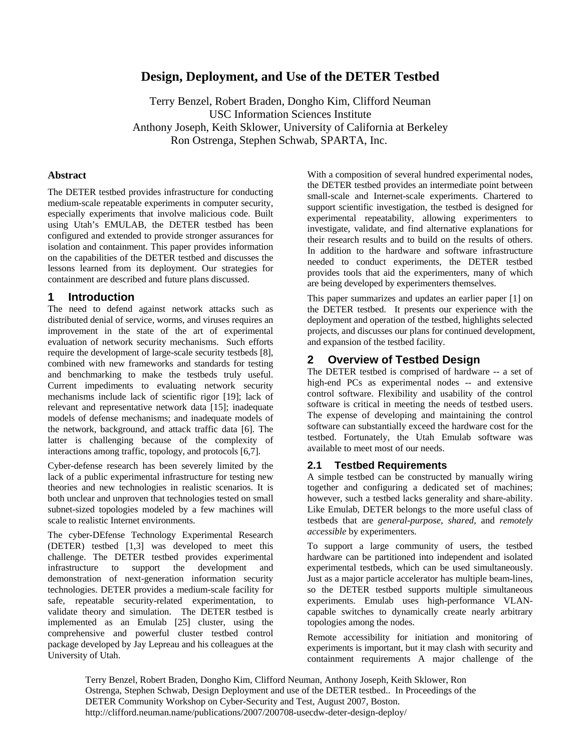# **Design, Deployment, and Use of the DETER Testbed**

Terry Benzel, Robert Braden, Dongho Kim, Clifford Neuman USC Information Sciences Institute Anthony Joseph, Keith Sklower, University of California at Berkeley Ron Ostrenga, Stephen Schwab, SPARTA, Inc.

#### **Abstract**

The DETER testbed provides infrastructure for conducting medium-scale repeatable experiments in computer security, especially experiments that involve malicious code. Built using Utah's EMULAB, the DETER testbed has been configured and extended to provide stronger assurances for isolation and containment. This paper provides information on the capabilities of the DETER testbed and discusses the lessons learned from its deployment. Our strategies for containment are described and future plans discussed.

### **1 Introduction**

The need to defend against network attacks such as distributed denial of service, worms, and viruses requires an improvement in the state of the art of experimental evaluation of network security mechanisms. Such efforts require the development of large-scale security testbeds [8], combined with new frameworks and standards for testing and benchmarking to make the testbeds truly useful. Current impediments to evaluating network security mechanisms include lack of scientific rigor [19]; lack of relevant and representative network data [15]; inadequate models of defense mechanisms; and inadequate models of the network, background, and attack traffic data [6]. The latter is challenging because of the complexity of interactions among traffic, topology, and protocols [6,7].

Cyber-defense research has been severely limited by the lack of a public experimental infrastructure for testing new theories and new technologies in realistic scenarios. It is both unclear and unproven that technologies tested on small subnet-sized topologies modeled by a few machines will scale to realistic Internet environments.

The cyber-DEfense Technology Experimental Research (DETER) testbed [1,3] was developed to meet this challenge. The DETER testbed provides experimental infrastructure to support the development and demonstration of next-generation information security technologies. DETER provides a medium-scale facility for safe, repeatable security-related experimentation, to validate theory and simulation. The DETER testbed is implemented as an Emulab [25] cluster, using the comprehensive and powerful cluster testbed control package developed by Jay Lepreau and his colleagues at the University of Utah.

With a composition of several hundred experimental nodes, the DETER testbed provides an intermediate point between small-scale and Internet-scale experiments. Chartered to support scientific investigation, the testbed is designed for experimental repeatability, allowing experimenters to investigate, validate, and find alternative explanations for their research results and to build on the results of others. In addition to the hardware and software infrastructure needed to conduct experiments, the DETER testbed provides tools that aid the experimenters, many of which are being developed by experimenters themselves.

This paper summarizes and updates an earlier paper [1] on the DETER testbed. It presents our experience with the deployment and operation of the testbed, highlights selected projects, and discusses our plans for continued development, and expansion of the testbed facility.

## **2 Overview of Testbed Design**

The DETER testbed is comprised of hardware -- a set of high-end PCs as experimental nodes -- and extensive control software. Flexibility and usability of the control software is critical in meeting the needs of testbed users. The expense of developing and maintaining the control software can substantially exceed the hardware cost for the testbed. Fortunately, the Utah Emulab software was available to meet most of our needs.

## **2.1 Testbed Requirements**

A simple testbed can be constructed by manually wiring together and configuring a dedicated set of machines; however, such a testbed lacks generality and share-ability. Like Emulab, DETER belongs to the more useful class of testbeds that are *general-purpose*, *shared*, and *remotely accessible* by experimenters.

To support a large community of users, the testbed hardware can be partitioned into independent and isolated experimental testbeds, which can be used simultaneously. Just as a major particle accelerator has multiple beam-lines, so the DETER testbed supports multiple simultaneous experiments. Emulab uses high-performance VLANcapable switches to dynamically create nearly arbitrary topologies among the nodes.

Remote accessibility for initiation and monitoring of experiments is important, but it may clash with security and containment requirements A major challenge of the

Terry Benzel, Robert Braden, Dongho Kim, Clifford Neuman, Anthony Joseph, Keith Sklower, Ron Ostrenga, Stephen Schwab, Design Deployment and use of the DETER testbed.. In Proceedings of the DETER Community Workshop on Cyber-Security and Test, August 2007, Boston. http://clifford.neuman.name/publications/2007/200708-usecdw-deter-design-deploy/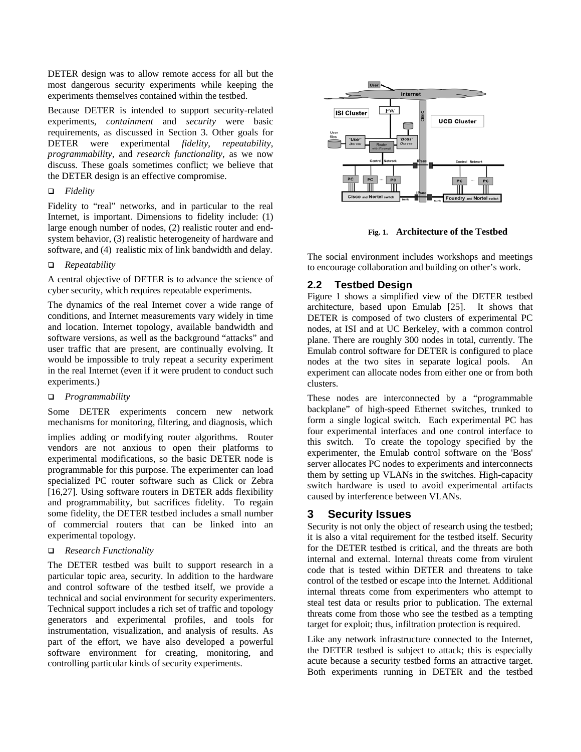DETER design was to allow remote access for all but the most dangerous security experiments while keeping the experiments themselves contained within the testbed.

Because DETER is intended to support security-related experiments, *containment* and *security* were basic requirements, as discussed in Section 3. Other goals for DETER were experimental *fidelity*, *repeatability*, *programmability*, and *research functionality*, as we now discuss. These goals sometimes conflict; we believe that the DETER design is an effective compromise.

#### *Fidelity*

Fidelity to "real" networks, and in particular to the real Internet, is important. Dimensions to fidelity include: (1) large enough number of nodes, (2) realistic router and endsystem behavior, (3) realistic heterogeneity of hardware and software, and (4) realistic mix of link bandwidth and delay.

#### *Repeatability*

A central objective of DETER is to advance the science of cyber security, which requires repeatable experiments.

The dynamics of the real Internet cover a wide range of conditions, and Internet measurements vary widely in time and location. Internet topology, available bandwidth and software versions, as well as the background "attacks" and user traffic that are present, are continually evolving. It would be impossible to truly repeat a security experiment in the real Internet (even if it were prudent to conduct such experiments.)

#### *Programmability*

Some DETER experiments concern new network mechanisms for monitoring, filtering, and diagnosis, which

implies adding or modifying router algorithms. Router vendors are not anxious to open their platforms to experimental modifications, so the basic DETER node is programmable for this purpose. The experimenter can load specialized PC router software such as Click or Zebra [16,27]. Using software routers in DETER adds flexibility and programmability, but sacrifices fidelity. To regain some fidelity, the DETER testbed includes a small number of commercial routers that can be linked into an experimental topology.

#### *Research Functionality*

The DETER testbed was built to support research in a particular topic area, security. In addition to the hardware and control software of the testbed itself, we provide a technical and social environment for security experimenters. Technical support includes a rich set of traffic and topology generators and experimental profiles, and tools for instrumentation, visualization, and analysis of results. As part of the effort, we have also developed a powerful software environment for creating, monitoring, and controlling particular kinds of security experiments.



**Fig. 1. Architecture of the Testbed**

The social environment includes workshops and meetings to encourage collaboration and building on other's work.

### **2.2 Testbed Design**

Figure 1 shows a simplified view of the DETER testbed architecture, based upon Emulab [25]. It shows that DETER is composed of two clusters of experimental PC nodes, at ISI and at UC Berkeley, with a common control plane. There are roughly 300 nodes in total, currently. The Emulab control software for DETER is configured to place nodes at the two sites in separate logical pools. An experiment can allocate nodes from either one or from both clusters.

These nodes are interconnected by a "programmable backplane" of high-speed Ethernet switches, trunked to form a single logical switch. Each experimental PC has four experimental interfaces and one control interface to this switch. To create the topology specified by the experimenter, the Emulab control software on the 'Boss' server allocates PC nodes to experiments and interconnects them by setting up VLANs in the switches. High-capacity switch hardware is used to avoid experimental artifacts caused by interference between VLANs.

## **3 Security Issues**

Security is not only the object of research using the testbed; it is also a vital requirement for the testbed itself. Security for the DETER testbed is critical, and the threats are both internal and external. Internal threats come from virulent code that is tested within DETER and threatens to take control of the testbed or escape into the Internet. Additional internal threats come from experimenters who attempt to steal test data or results prior to publication. The external threats come from those who see the testbed as a tempting target for exploit; thus, infiltration protection is required.

Like any network infrastructure connected to the Internet, the DETER testbed is subject to attack; this is especially acute because a security testbed forms an attractive target. Both experiments running in DETER and the testbed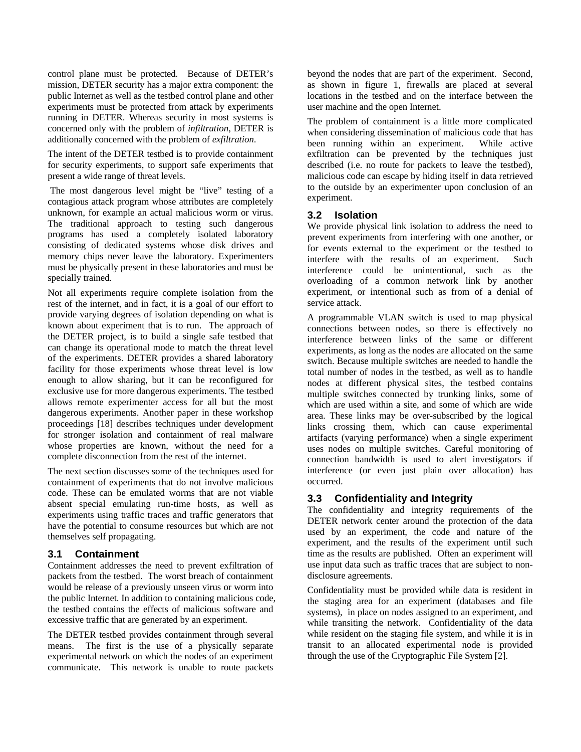control plane must be protected. Because of DETER's mission, DETER security has a major extra component: the public Internet as well as the testbed control plane and other experiments must be protected from attack by experiments running in DETER. Whereas security in most systems is concerned only with the problem of *infiltration*, DETER is additionally concerned with the problem of *exfiltration*.

The intent of the DETER testbed is to provide containment for security experiments, to support safe experiments that present a wide range of threat levels.

 The most dangerous level might be "live" testing of a contagious attack program whose attributes are completely unknown, for example an actual malicious worm or virus. The traditional approach to testing such dangerous programs has used a completely isolated laboratory consisting of dedicated systems whose disk drives and memory chips never leave the laboratory. Experimenters must be physically present in these laboratories and must be specially trained.

Not all experiments require complete isolation from the rest of the internet, and in fact, it is a goal of our effort to provide varying degrees of isolation depending on what is known about experiment that is to run. The approach of the DETER project, is to build a single safe testbed that can change its operational mode to match the threat level of the experiments. DETER provides a shared laboratory facility for those experiments whose threat level is low enough to allow sharing, but it can be reconfigured for exclusive use for more dangerous experiments. The testbed allows remote experimenter access for all but the most dangerous experiments. Another paper in these workshop proceedings [18] describes techniques under development for stronger isolation and containment of real malware whose properties are known, without the need for a complete disconnection from the rest of the internet.

The next section discusses some of the techniques used for containment of experiments that do not involve malicious code. These can be emulated worms that are not viable absent special emulating run-time hosts, as well as experiments using traffic traces and traffic generators that have the potential to consume resources but which are not themselves self propagating.

## **3.1 Containment**

Containment addresses the need to prevent exfiltration of packets from the testbed. The worst breach of containment would be release of a previously unseen virus or worm into the public Internet. In addition to containing malicious code, the testbed contains the effects of malicious software and excessive traffic that are generated by an experiment.

The DETER testbed provides containment through several means. The first is the use of a physically separate experimental network on which the nodes of an experiment communicate. This network is unable to route packets

beyond the nodes that are part of the experiment. Second, as shown in figure 1, firewalls are placed at several locations in the testbed and on the interface between the user machine and the open Internet.

The problem of containment is a little more complicated when considering dissemination of malicious code that has been running within an experiment. While active exfiltration can be prevented by the techniques just described (i.e. no route for packets to leave the testbed), malicious code can escape by hiding itself in data retrieved to the outside by an experimenter upon conclusion of an experiment.

### **3.2 Isolation**

We provide physical link isolation to address the need to prevent experiments from interfering with one another, or for events external to the experiment or the testbed to interfere with the results of an experiment. Such interference could be unintentional, such as the overloading of a common network link by another experiment, or intentional such as from of a denial of service attack.

A programmable VLAN switch is used to map physical connections between nodes, so there is effectively no interference between links of the same or different experiments, as long as the nodes are allocated on the same switch. Because multiple switches are needed to handle the total number of nodes in the testbed, as well as to handle nodes at different physical sites, the testbed contains multiple switches connected by trunking links, some of which are used within a site, and some of which are wide area. These links may be over-subscribed by the logical links crossing them, which can cause experimental artifacts (varying performance) when a single experiment uses nodes on multiple switches. Careful monitoring of connection bandwidth is used to alert investigators if interference (or even just plain over allocation) has occurred.

## **3.3 Confidentiality and Integrity**

The confidentiality and integrity requirements of the DETER network center around the protection of the data used by an experiment, the code and nature of the experiment, and the results of the experiment until such time as the results are published. Often an experiment will use input data such as traffic traces that are subject to nondisclosure agreements.

Confidentiality must be provided while data is resident in the staging area for an experiment (databases and file systems), in place on nodes assigned to an experiment, and while transiting the network. Confidentiality of the data while resident on the staging file system, and while it is in transit to an allocated experimental node is provided through the use of the Cryptographic File System [2].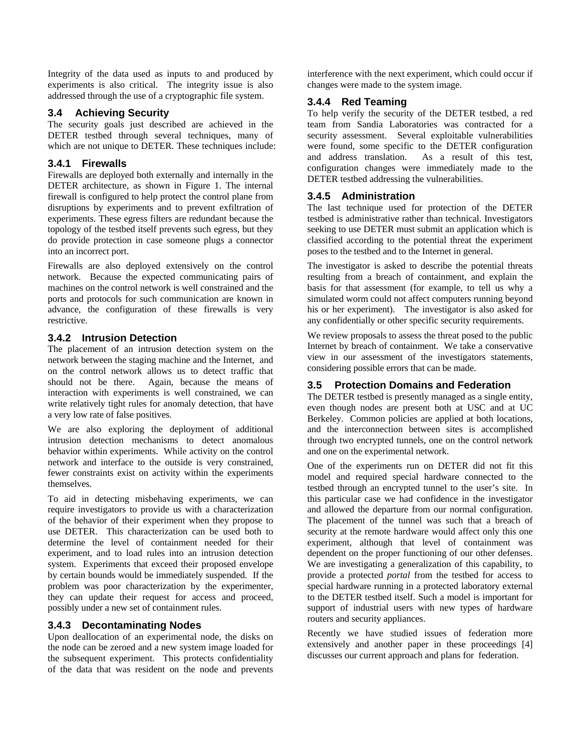Integrity of the data used as inputs to and produced by experiments is also critical. The integrity issue is also addressed through the use of a cryptographic file system.

## **3.4 Achieving Security**

The security goals just described are achieved in the DETER testbed through several techniques, many of which are not unique to DETER. These techniques include:

## **3.4.1 Firewalls**

Firewalls are deployed both externally and internally in the DETER architecture, as shown in Figure 1. The internal firewall is configured to help protect the control plane from disruptions by experiments and to prevent exfiltration of experiments. These egress filters are redundant because the topology of the testbed itself prevents such egress, but they do provide protection in case someone plugs a connector into an incorrect port.

Firewalls are also deployed extensively on the control network. Because the expected communicating pairs of machines on the control network is well constrained and the ports and protocols for such communication are known in advance, the configuration of these firewalls is very restrictive.

## **3.4.2 Intrusion Detection**

The placement of an intrusion detection system on the network between the staging machine and the Internet, and on the control network allows us to detect traffic that should not be there. Again, because the means of interaction with experiments is well constrained, we can write relatively tight rules for anomaly detection, that have a very low rate of false positives.

We are also exploring the deployment of additional intrusion detection mechanisms to detect anomalous behavior within experiments. While activity on the control network and interface to the outside is very constrained, fewer constraints exist on activity within the experiments themselves.

To aid in detecting misbehaving experiments, we can require investigators to provide us with a characterization of the behavior of their experiment when they propose to use DETER. This characterization can be used both to determine the level of containment needed for their experiment, and to load rules into an intrusion detection system. Experiments that exceed their proposed envelope by certain bounds would be immediately suspended. If the problem was poor characterization by the experimenter, they can update their request for access and proceed, possibly under a new set of containment rules.

#### **3.4.3 Decontaminating Nodes**

Upon deallocation of an experimental node, the disks on the node can be zeroed and a new system image loaded for the subsequent experiment. This protects confidentiality of the data that was resident on the node and prevents interference with the next experiment, which could occur if changes were made to the system image.

## **3.4.4 Red Teaming**

To help verify the security of the DETER testbed, a red team from Sandia Laboratories was contracted for a security assessment. Several exploitable vulnerabilities were found, some specific to the DETER configuration<br>and address translation. As a result of this test, As a result of this test, configuration changes were immediately made to the DETER testbed addressing the vulnerabilities.

## **3.4.5 Administration**

The last technique used for protection of the DETER testbed is administrative rather than technical. Investigators seeking to use DETER must submit an application which is classified according to the potential threat the experiment poses to the testbed and to the Internet in general.

The investigator is asked to describe the potential threats resulting from a breach of containment, and explain the basis for that assessment (for example, to tell us why a simulated worm could not affect computers running beyond his or her experiment). The investigator is also asked for any confidentially or other specific security requirements.

We review proposals to assess the threat posed to the public Internet by breach of containment. We take a conservative view in our assessment of the investigators statements, considering possible errors that can be made.

## **3.5 Protection Domains and Federation**

The DETER testbed is presently managed as a single entity, even though nodes are present both at USC and at UC Berkeley. Common policies are applied at both locations, and the interconnection between sites is accomplished through two encrypted tunnels, one on the control network and one on the experimental network.

One of the experiments run on DETER did not fit this model and required special hardware connected to the testbed through an encrypted tunnel to the user's site. In this particular case we had confidence in the investigator and allowed the departure from our normal configuration. The placement of the tunnel was such that a breach of security at the remote hardware would affect only this one experiment, although that level of containment was dependent on the proper functioning of our other defenses. We are investigating a generalization of this capability, to provide a protected *portal* from the testbed for access to special hardware running in a protected laboratory external to the DETER testbed itself. Such a model is important for support of industrial users with new types of hardware routers and security appliances.

Recently we have studied issues of federation more extensively and another paper in these proceedings [4] discusses our current approach and plans for federation.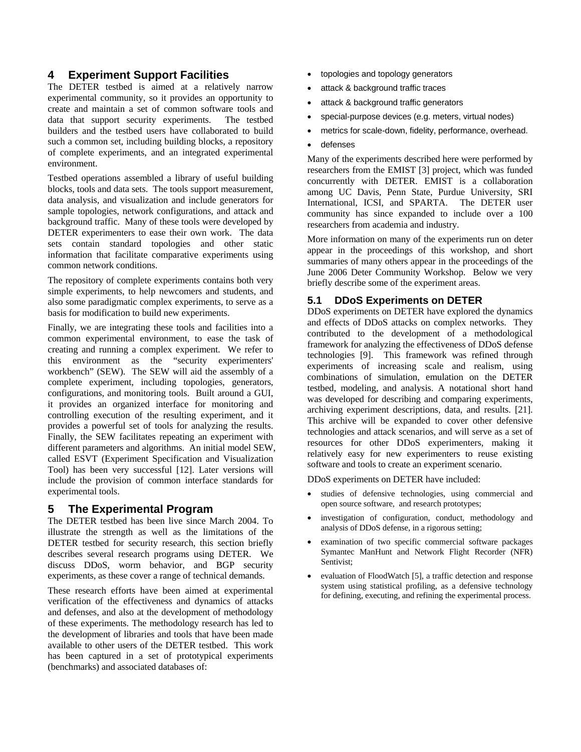## **4 Experiment Support Facilities**

The DETER testbed is aimed at a relatively narrow experimental community, so it provides an opportunity to create and maintain a set of common software tools and data that support security experiments. The testbed builders and the testbed users have collaborated to build such a common set, including building blocks, a repository of complete experiments, and an integrated experimental environment.

Testbed operations assembled a library of useful building blocks, tools and data sets. The tools support measurement, data analysis, and visualization and include generators for sample topologies, network configurations, and attack and background traffic. Many of these tools were developed by DETER experimenters to ease their own work. The data sets contain standard topologies and other static information that facilitate comparative experiments using common network conditions.

The repository of complete experiments contains both very simple experiments, to help newcomers and students, and also some paradigmatic complex experiments, to serve as a basis for modification to build new experiments.

Finally, we are integrating these tools and facilities into a common experimental environment, to ease the task of creating and running a complex experiment. We refer to this environment as the "security experimenters' workbench" (SEW). The SEW will aid the assembly of a complete experiment, including topologies, generators, configurations, and monitoring tools. Built around a GUI, it provides an organized interface for monitoring and controlling execution of the resulting experiment, and it provides a powerful set of tools for analyzing the results. Finally, the SEW facilitates repeating an experiment with different parameters and algorithms. An initial model SEW, called ESVT (Experiment Specification and Visualization Tool) has been very successful [12]. Later versions will include the provision of common interface standards for experimental tools.

## **5 The Experimental Program**

The DETER testbed has been live since March 2004. To illustrate the strength as well as the limitations of the DETER testbed for security research, this section briefly describes several research programs using DETER. We discuss DDoS, worm behavior, and BGP security experiments, as these cover a range of technical demands.

These research efforts have been aimed at experimental verification of the effectiveness and dynamics of attacks and defenses, and also at the development of methodology of these experiments. The methodology research has led to the development of libraries and tools that have been made available to other users of the DETER testbed. This work has been captured in a set of prototypical experiments (benchmarks) and associated databases of:

- topologies and topology generators
- attack & background traffic traces
- attack & background traffic generators
- special-purpose devices (e.g. meters, virtual nodes)
- metrics for scale-down, fidelity, performance, overhead.
- defenses

Many of the experiments described here were performed by researchers from the EMIST [3] project, which was funded concurrently with DETER. EMIST is a collaboration among UC Davis, Penn State, Purdue University, SRI International, ICSI, and SPARTA. The DETER user community has since expanded to include over a 100 researchers from academia and industry.

More information on many of the experiments run on deter appear in the proceedings of this workshop, and short summaries of many others appear in the proceedings of the June 2006 Deter Community Workshop. Below we very briefly describe some of the experiment areas.

### **5.1 DDoS Experiments on DETER**

DDoS experiments on DETER have explored the dynamics and effects of DDoS attacks on complex networks. They contributed to the development of a methodological framework for analyzing the effectiveness of DDoS defense technologies [9]. This framework was refined through experiments of increasing scale and realism, using combinations of simulation, emulation on the DETER testbed, modeling, and analysis. A notational short hand was developed for describing and comparing experiments, archiving experiment descriptions, data, and results. [21]. This archive will be expanded to cover other defensive technologies and attack scenarios, and will serve as a set of resources for other DDoS experimenters, making it relatively easy for new experimenters to reuse existing software and tools to create an experiment scenario.

DDoS experiments on DETER have included:

- studies of defensive technologies, using commercial and open source software, and research prototypes;
- investigation of configuration, conduct, methodology and analysis of DDoS defense, in a rigorous setting;
- examination of two specific commercial software packages Symantec ManHunt and Network Flight Recorder (NFR) Sentivist;
- evaluation of FloodWatch [5], a traffic detection and response system using statistical profiling, as a defensive technology for defining, executing, and refining the experimental process.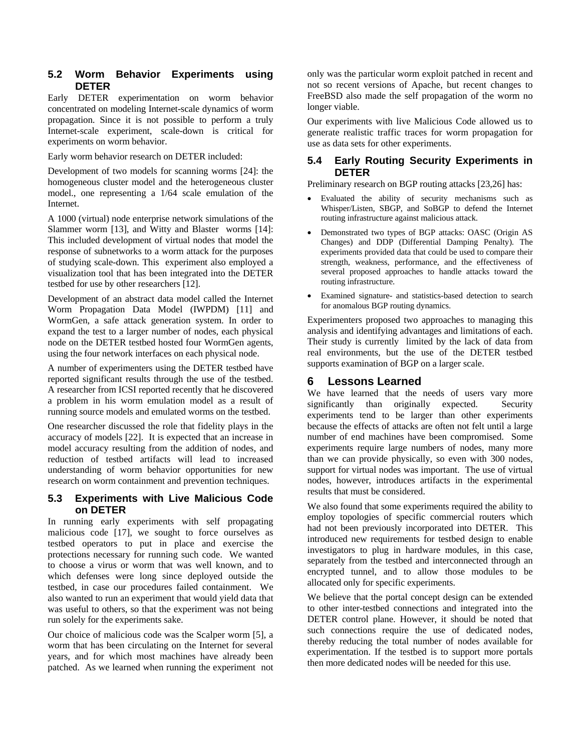## **5.2 Worm Behavior Experiments using DETER**

Early DETER experimentation on worm behavior concentrated on modeling Internet-scale dynamics of worm propagation. Since it is not possible to perform a truly Internet-scale experiment, scale-down is critical for experiments on worm behavior.

Early worm behavior research on DETER included:

Development of two models for scanning worms [24]: the homogeneous cluster model and the heterogeneous cluster model., one representing a 1/64 scale emulation of the Internet.

A 1000 (virtual) node enterprise network simulations of the Slammer worm [13], and Witty and Blaster worms [14]: This included development of virtual nodes that model the response of subnetworks to a worm attack for the purposes of studying scale-down. This experiment also employed a visualization tool that has been integrated into the DETER testbed for use by other researchers [12].

Development of an abstract data model called the Internet Worm Propagation Data Model (IWPDM) [11] and WormGen, a safe attack generation system. In order to expand the test to a larger number of nodes, each physical node on the DETER testbed hosted four WormGen agents, using the four network interfaces on each physical node.

A number of experimenters using the DETER testbed have reported significant results through the use of the testbed. A researcher from ICSI reported recently that he discovered a problem in his worm emulation model as a result of running source models and emulated worms on the testbed.

One researcher discussed the role that fidelity plays in the accuracy of models [22]. It is expected that an increase in model accuracy resulting from the addition of nodes, and reduction of testbed artifacts will lead to increased understanding of worm behavior opportunities for new research on worm containment and prevention techniques.

## **5.3 Experiments with Live Malicious Code on DETER**

In running early experiments with self propagating malicious code [17], we sought to force ourselves as testbed operators to put in place and exercise the protections necessary for running such code. We wanted to choose a virus or worm that was well known, and to which defenses were long since deployed outside the testbed, in case our procedures failed containment. We also wanted to run an experiment that would yield data that was useful to others, so that the experiment was not being run solely for the experiments sake.

Our choice of malicious code was the Scalper worm [5], a worm that has been circulating on the Internet for several years, and for which most machines have already been patched. As we learned when running the experiment not only was the particular worm exploit patched in recent and not so recent versions of Apache, but recent changes to FreeBSD also made the self propagation of the worm no longer viable.

Our experiments with live Malicious Code allowed us to generate realistic traffic traces for worm propagation for use as data sets for other experiments.

## **5.4 Early Routing Security Experiments in DETER**

Preliminary research on BGP routing attacks [23,26] has:

- Evaluated the ability of security mechanisms such as Whisper/Listen, SBGP, and SoBGP to defend the Internet routing infrastructure against malicious attack.
- Demonstrated two types of BGP attacks: OASC (Origin AS Changes) and DDP (Differential Damping Penalty). The experiments provided data that could be used to compare their strength, weakness, performance, and the effectiveness of several proposed approaches to handle attacks toward the routing infrastructure.
- Examined signature- and statistics-based detection to search for anomalous BGP routing dynamics.

Experimenters proposed two approaches to managing this analysis and identifying advantages and limitations of each. Their study is currently limited by the lack of data from real environments, but the use of the DETER testbed supports examination of BGP on a larger scale.

# **6 Lessons Learned**

We have learned that the needs of users vary more significantly than originally expected. Security experiments tend to be larger than other experiments because the effects of attacks are often not felt until a large number of end machines have been compromised. Some experiments require large numbers of nodes, many more than we can provide physically, so even with 300 nodes, support for virtual nodes was important. The use of virtual nodes, however, introduces artifacts in the experimental results that must be considered.

We also found that some experiments required the ability to employ topologies of specific commercial routers which had not been previously incorporated into DETER. This introduced new requirements for testbed design to enable investigators to plug in hardware modules, in this case, separately from the testbed and interconnected through an encrypted tunnel, and to allow those modules to be allocated only for specific experiments.

We believe that the portal concept design can be extended to other inter-testbed connections and integrated into the DETER control plane. However, it should be noted that such connections require the use of dedicated nodes, thereby reducing the total number of nodes available for experimentation. If the testbed is to support more portals then more dedicated nodes will be needed for this use.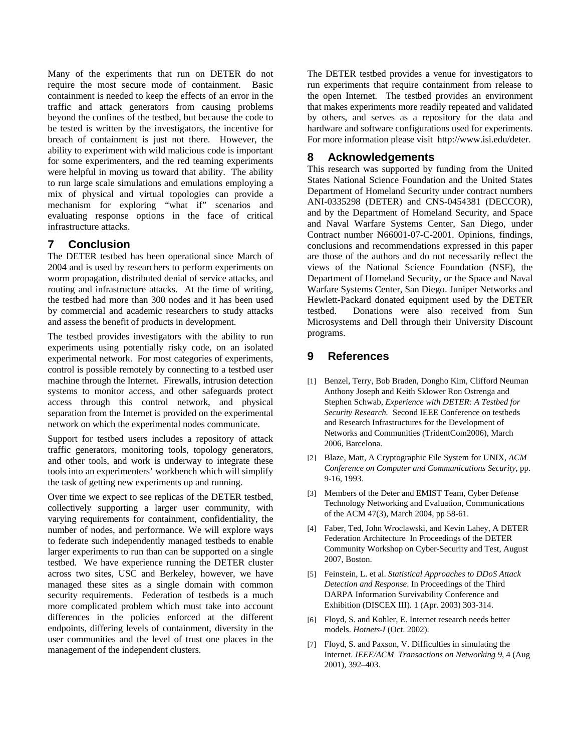Many of the experiments that run on DETER do not require the most secure mode of containment. Basic containment is needed to keep the effects of an error in the traffic and attack generators from causing problems beyond the confines of the testbed, but because the code to be tested is written by the investigators, the incentive for breach of containment is just not there. However, the ability to experiment with wild malicious code is important for some experimenters, and the red teaming experiments were helpful in moving us toward that ability. The ability to run large scale simulations and emulations employing a mix of physical and virtual topologies can provide a mechanism for exploring "what if" scenarios and evaluating response options in the face of critical infrastructure attacks.

# **7 Conclusion**

The DETER testbed has been operational since March of 2004 and is used by researchers to perform experiments on worm propagation, distributed denial of service attacks, and routing and infrastructure attacks. At the time of writing, the testbed had more than 300 nodes and it has been used by commercial and academic researchers to study attacks and assess the benefit of products in development.

The testbed provides investigators with the ability to run experiments using potentially risky code, on an isolated experimental network. For most categories of experiments, control is possible remotely by connecting to a testbed user machine through the Internet. Firewalls, intrusion detection systems to monitor access, and other safeguards protect access through this control network, and physical separation from the Internet is provided on the experimental network on which the experimental nodes communicate.

Support for testbed users includes a repository of attack traffic generators, monitoring tools, topology generators, and other tools, and work is underway to integrate these tools into an experimenters' workbench which will simplify the task of getting new experiments up and running.

Over time we expect to see replicas of the DETER testbed, collectively supporting a larger user community, with varying requirements for containment, confidentiality, the number of nodes, and performance. We will explore ways to federate such independently managed testbeds to enable larger experiments to run than can be supported on a single testbed. We have experience running the DETER cluster across two sites, USC and Berkeley, however, we have managed these sites as a single domain with common security requirements. Federation of testbeds is a much more complicated problem which must take into account differences in the policies enforced at the different endpoints, differing levels of containment, diversity in the user communities and the level of trust one places in the management of the independent clusters.

The DETER testbed provides a venue for investigators to run experiments that require containment from release to the open Internet. The testbed provides an environment that makes experiments more readily repeated and validated by others, and serves as a repository for the data and hardware and software configurations used for experiments. For more information please visit http://www.isi.edu/deter.

## **8 Acknowledgements**

This research was supported by funding from the United States National Science Foundation and the United States Department of Homeland Security under contract numbers ANI-0335298 (DETER) and CNS-0454381 (DECCOR), and by the Department of Homeland Security, and Space and Naval Warfare Systems Center, San Diego, under Contract number N66001-07-C-2001. Opinions, findings, conclusions and recommendations expressed in this paper are those of the authors and do not necessarily reflect the views of the National Science Foundation (NSF), the Department of Homeland Security, or the Space and Naval Warfare Systems Center, San Diego. Juniper Networks and Hewlett-Packard donated equipment used by the DETER testbed. Donations were also received from Sun Microsystems and Dell through their University Discount programs.

# **9 References**

- [1] Benzel, Terry, Bob Braden, Dongho Kim, Clifford Neuman Anthony Joseph and Keith Sklower Ron Ostrenga and Stephen Schwab, *Experience with DETER: A Testbed for Security Research.* Second IEEE Conference on testbeds and Research Infrastructures for the Development of Networks and Communities (TridentCom2006), March 2006, Barcelona.
- [2] Blaze, Matt, A Cryptographic File System for UNIX, *ACM Conference on Computer and Communications Security*, pp. 9-16, 1993.
- [3] Members of the Deter and EMIST Team, Cyber Defense Technology Networking and Evaluation, Communications of the ACM 47(3), March 2004, pp 58-61.
- [4] Faber, Ted, John Wroclawski, and Kevin Lahey, A DETER Federation Architecture In Proceedings of the DETER Community Workshop on Cyber-Security and Test, August 2007, Boston.
- [5] Feinstein, L. et al. *Statistical Approaches to DDoS Attack Detection and Response*. In Proceedings of the Third DARPA Information Survivability Conference and Exhibition (DISCEX III). 1 (Apr. 2003) 303-314.
- [6] Floyd, S. and Kohler, E. Internet research needs better models. *Hotnets-I* (Oct. 2002).
- [7] Floyd, S. and Paxson, V. Difficulties in simulating the Internet. *IEEE/ACM Transactions on Networking 9*, 4 (Aug 2001), 392–403.